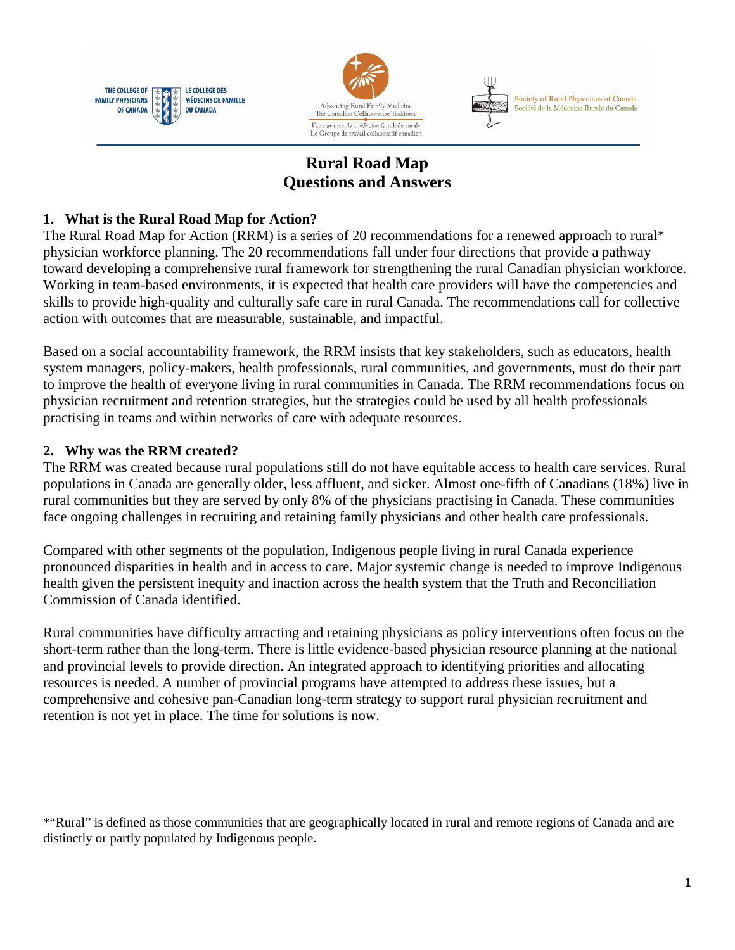





# **Rural Road Map Questions and Answers**

## **1. What is the Rural Road Map for Action?**

The Rural Road Map for Action (RRM) is a series of 20 recommendations for a renewed approach to rural\* physician workforce planning. The 20 recommendations fall under four directions that provide a pathway toward developing a comprehensive rural framework for strengthening the rural Canadian physician workforce. Working in team-based environments, it is expected that health care providers will have the competencies and skills to provide high-quality and culturally safe care in rural Canada. The recommendations call for collective action with outcomes that are measurable, sustainable, and impactful.

Based on a social accountability framework, the RRM insists that key stakeholders, such as educators, health system managers, policy-makers, health professionals, rural communities, and governments, must do their part to improve the health of everyone living in rural communities in Canada. The RRM recommendations focus on physician recruitment and retention strategies, but the strategies could be used by all health professionals practising in teams and within networks of care with adequate resources.

## **2. Why was the RRM created?**

The RRM was created because rural populations still do not have equitable access to health care services. Rural populations in Canada are generally older, less affluent, and sicker. Almost one-fifth of Canadians (18%) live in rural communities but they are served by only 8% of the physicians practising in Canada. These communities face ongoing challenges in recruiting and retaining family physicians and other health care professionals.

Compared with other segments of the population, Indigenous people living in rural Canada experience pronounced disparities in health and in access to care. Major systemic change is needed to improve Indigenous health given the persistent inequity and inaction across the health system that the Truth and Reconciliation Commission of Canada identified.

Rural communities have difficulty attracting and retaining physicians as policy interventions often focus on the short-term rather than the long-term. There is little evidence-based physician resource planning at the national and provincial levels to provide direction. An integrated approach to identifying priorities and allocating resources is needed. A number of provincial programs have attempted to address these issues, but a comprehensive and cohesive pan-Canadian long-term strategy to support rural physician recruitment and retention is not yet in place. The time for solutions is now.

\*"Rural" is defined as those communities that are geographically located in rural and remote regions of Canada and are distinctly or partly populated by Indigenous people.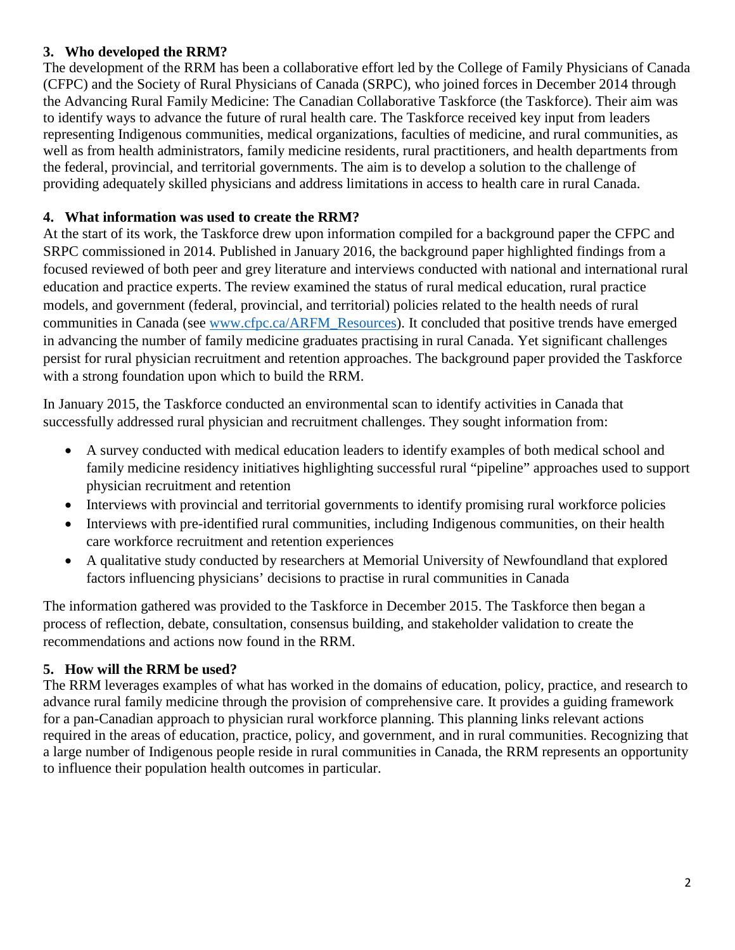## **3. Who developed the RRM?**

The development of the RRM has been a collaborative effort led by the College of Family Physicians of Canada (CFPC) and the Society of Rural Physicians of Canada (SRPC), who joined forces in December 2014 through the Advancing Rural Family Medicine: The Canadian Collaborative Taskforce (the Taskforce). Their aim was to identify ways to advance the future of rural health care. The Taskforce received key input from leaders representing Indigenous communities, medical organizations, faculties of medicine, and rural communities, as well as from health administrators, family medicine residents, rural practitioners, and health departments from the federal, provincial, and territorial governments. The aim is to develop a solution to the challenge of providing adequately skilled physicians and address limitations in access to health care in rural Canada.

#### **4. What information was used to create the RRM?**

At the start of its work, the Taskforce drew upon information compiled for a background paper the CFPC and SRPC commissioned in 2014. Published in January 2016, the background paper highlighted findings from a focused reviewed of both peer and grey literature and interviews conducted with national and international rural education and practice experts. The review examined the status of rural medical education, rural practice models, and government (federal, provincial, and territorial) policies related to the health needs of rural communities in Canada (see [www.cfpc.ca/ARFM\\_Resources\)](http://www.cfpc.ca/ARFM_Resources/). It concluded that positive trends have emerged in advancing the number of family medicine graduates practising in rural Canada. Yet significant challenges persist for rural physician recruitment and retention approaches. The background paper provided the Taskforce with a strong foundation upon which to build the RRM.

In January 2015, the Taskforce conducted an environmental scan to identify activities in Canada that successfully addressed rural physician and recruitment challenges. They sought information from:

- A survey conducted with medical education leaders to identify examples of both medical school and family medicine residency initiatives highlighting successful rural "pipeline" approaches used to support physician recruitment and retention
- Interviews with provincial and territorial governments to identify promising rural workforce policies
- Interviews with pre-identified rural communities, including Indigenous communities, on their health care workforce recruitment and retention experiences
- A qualitative study conducted by researchers at Memorial University of Newfoundland that explored factors influencing physicians' decisions to practise in rural communities in Canada

The information gathered was provided to the Taskforce in December 2015. The Taskforce then began a process of reflection, debate, consultation, consensus building, and stakeholder validation to create the recommendations and actions now found in the RRM.

## **5. How will the RRM be used?**

The RRM leverages examples of what has worked in the domains of education, policy, practice, and research to advance rural family medicine through the provision of comprehensive care. It provides a guiding framework for a pan-Canadian approach to physician rural workforce planning. This planning links relevant actions required in the areas of education, practice, policy, and government, and in rural communities. Recognizing that a large number of Indigenous people reside in rural communities in Canada, the RRM represents an opportunity to influence their population health outcomes in particular.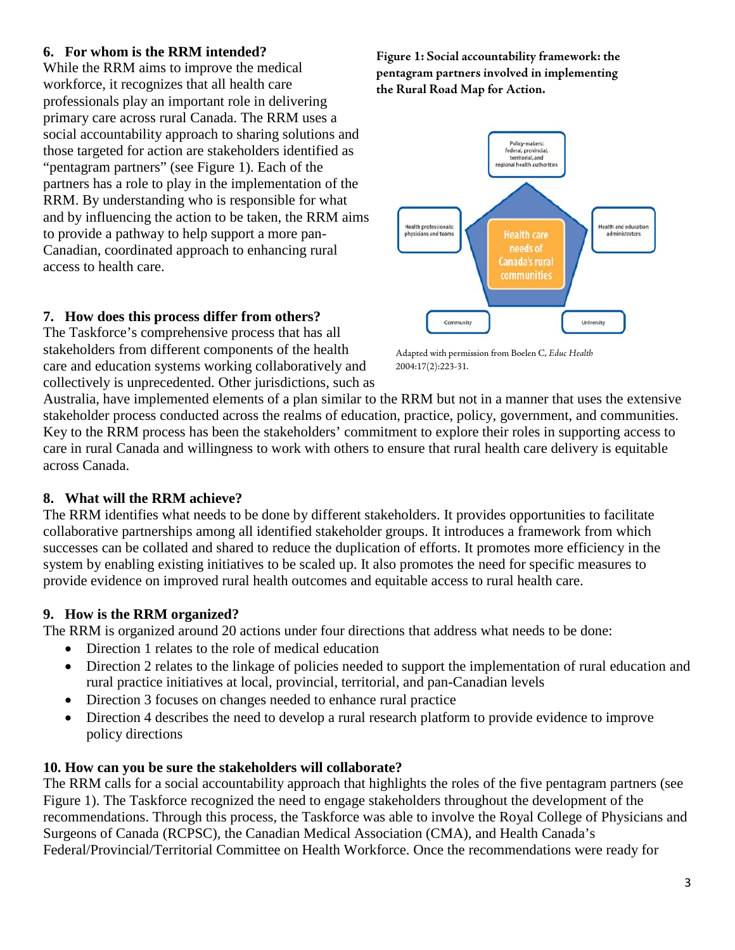### **6. For whom is the RRM intended?**

While the RRM aims to improve the medical workforce, it recognizes that all health care professionals play an important role in delivering primary care across rural Canada. The RRM uses a social accountability approach to sharing solutions and those targeted for action are stakeholders identified as "pentagram partners" (see Figure 1). Each of the partners has a role to play in the implementation of the RRM. By understanding who is responsible for what and by influencing the action to be taken, the RRM aims to provide a pathway to help support a more pan-Canadian, coordinated approach to enhancing rural access to health care.

### **7. How does this process differ from others?**

The Taskforce's comprehensive process that has all stakeholders from different components of the health care and education systems working collaboratively and collectively is unprecedented. Other jurisdictions, such as

**Figure 1: Social accountability framework: the pentagram partners involved in implementing the Rural Road Map for Action.**



Adapted with permission from Boelen C, *Educ Health* 2004:17(2):223-31.

Australia, have implemented elements of a plan similar to the RRM but not in a manner that uses the extensive stakeholder process conducted across the realms of education, practice, policy, government, and communities. Key to the RRM process has been the stakeholders' commitment to explore their roles in supporting access to care in rural Canada and willingness to work with others to ensure that rural health care delivery is equitable across Canada.

## **8. What will the RRM achieve?**

The RRM identifies what needs to be done by different stakeholders. It provides opportunities to facilitate collaborative partnerships among all identified stakeholder groups. It introduces a framework from which successes can be collated and shared to reduce the duplication of efforts. It promotes more efficiency in the system by enabling existing initiatives to be scaled up. It also promotes the need for specific measures to provide evidence on improved rural health outcomes and equitable access to rural health care.

## **9. How is the RRM organized?**

The RRM is organized around 20 actions under four directions that address what needs to be done:

- Direction 1 relates to the role of medical education
- Direction 2 relates to the linkage of policies needed to support the implementation of rural education and rural practice initiatives at local, provincial, territorial, and pan-Canadian levels
- Direction 3 focuses on changes needed to enhance rural practice
- Direction 4 describes the need to develop a rural research platform to provide evidence to improve policy directions

## **10. How can you be sure the stakeholders will collaborate?**

The RRM calls for a social accountability approach that highlights the roles of the five pentagram partners (see Figure 1). The Taskforce recognized the need to engage stakeholders throughout the development of the recommendations. Through this process, the Taskforce was able to involve the Royal College of Physicians and Surgeons of Canada (RCPSC), the Canadian Medical Association (CMA), and Health Canada's Federal/Provincial/Territorial Committee on Health Workforce. Once the recommendations were ready for